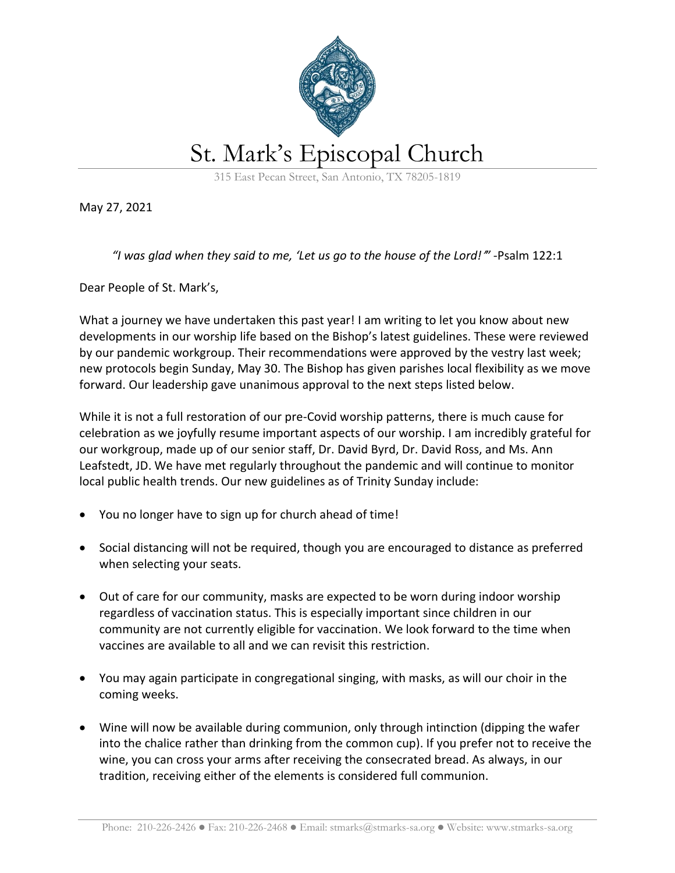

May 27, 2021

*"I was glad when they said to me, 'Let us go to the house of the Lord!*'*"* -Psalm 122:1

Dear People of St. Mark's,

What a journey we have undertaken this past year! I am writing to let you know about new developments in our worship life based on the Bishop's latest guidelines. These were reviewed by our pandemic workgroup. Their recommendations were approved by the vestry last week; new protocols begin Sunday, May 30. The Bishop has given parishes local flexibility as we move forward. Our leadership gave unanimous approval to the next steps listed below.

While it is not a full restoration of our pre-Covid worship patterns, there is much cause for celebration as we joyfully resume important aspects of our worship. I am incredibly grateful for our workgroup, made up of our senior staff, Dr. David Byrd, Dr. David Ross, and Ms. Ann Leafstedt, JD. We have met regularly throughout the pandemic and will continue to monitor local public health trends. Our new guidelines as of Trinity Sunday include:

- You no longer have to sign up for church ahead of time!
- Social distancing will not be required, though you are encouraged to distance as preferred when selecting your seats.
- Out of care for our community, masks are expected to be worn during indoor worship regardless of vaccination status. This is especially important since children in our community are not currently eligible for vaccination. We look forward to the time when vaccines are available to all and we can revisit this restriction.
- You may again participate in congregational singing, with masks, as will our choir in the coming weeks.
- Wine will now be available during communion, only through intinction (dipping the wafer into the chalice rather than drinking from the common cup). If you prefer not to receive the wine, you can cross your arms after receiving the consecrated bread. As always, in our tradition, receiving either of the elements is considered full communion.